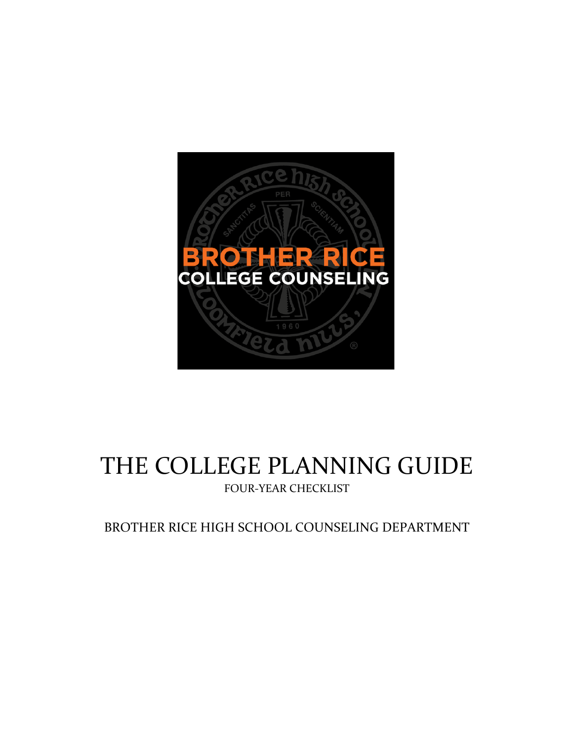

# THE COLLEGE PLANNING GUIDE

FOUR-YEAR CHECKLIST

BROTHER RICE HIGH SCHOOL COUNSELING DEPARTMENT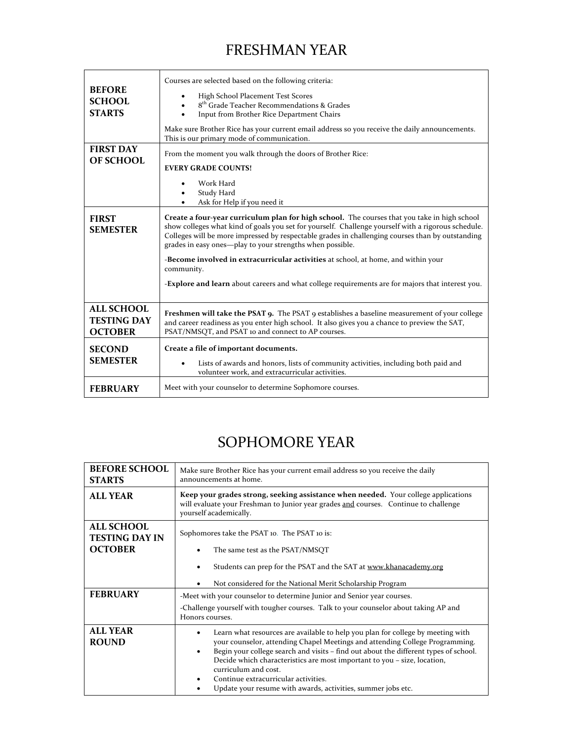### FRESHMAN YEAR

| <b>BEFORE</b><br><b>SCHOOL</b><br><b>STARTS</b><br><b>FIRST DAY</b><br><b>OF SCHOOL</b><br><b>FIRST</b><br><b>SEMESTER</b> | Courses are selected based on the following criteria:<br>High School Placement Test Scores<br>8 <sup>th</sup> Grade Teacher Recommendations & Grades<br>Input from Brother Rice Department Chairs<br>Make sure Brother Rice has your current email address so you receive the daily announcements.<br>This is our primary mode of communication.<br>From the moment you walk through the doors of Brother Rice:<br><b>EVERY GRADE COUNTS!</b><br>Work Hard<br>Study Hard<br>Ask for Help if you need it<br>Create a four-year curriculum plan for high school. The courses that you take in high school<br>show colleges what kind of goals you set for yourself. Challenge yourself with a rigorous schedule.<br>Colleges will be more impressed by respectable grades in challenging courses than by outstanding<br>grades in easy ones—play to your strengths when possible.<br>-Become involved in extracurricular activities at school, at home, and within your<br>community.<br>- <b>Explore and learn</b> about careers and what college requirements are for majors that interest you. |
|----------------------------------------------------------------------------------------------------------------------------|-------------------------------------------------------------------------------------------------------------------------------------------------------------------------------------------------------------------------------------------------------------------------------------------------------------------------------------------------------------------------------------------------------------------------------------------------------------------------------------------------------------------------------------------------------------------------------------------------------------------------------------------------------------------------------------------------------------------------------------------------------------------------------------------------------------------------------------------------------------------------------------------------------------------------------------------------------------------------------------------------------------------------------------------------------------------------------------------------|
| <b>ALL SCHOOL</b><br><b>TESTING DAY</b><br><b>OCTOBER</b><br><b>SECOND</b>                                                 | <b>Freshmen will take the PSAT 9.</b> The PSAT 9 establishes a baseline measurement of your college<br>and career readiness as you enter high school. It also gives you a chance to preview the SAT,<br>PSAT/NMSQT, and PSAT 10 and connect to AP courses.<br>Create a file of important documents.                                                                                                                                                                                                                                                                                                                                                                                                                                                                                                                                                                                                                                                                                                                                                                                             |
| <b>SEMESTER</b><br><b>FEBRUARY</b>                                                                                         | Lists of awards and honors, lists of community activities, including both paid and<br>volunteer work, and extracurricular activities.<br>Meet with your counselor to determine Sophomore courses.                                                                                                                                                                                                                                                                                                                                                                                                                                                                                                                                                                                                                                                                                                                                                                                                                                                                                               |

#### SOPHOMORE YEAR

| <b>BEFORE SCHOOL</b><br><b>STARTS</b>                        | Make sure Brother Rice has your current email address so you receive the daily<br>announcements at home.                                                                                                                                                                                                                                                                                                                                                            |
|--------------------------------------------------------------|---------------------------------------------------------------------------------------------------------------------------------------------------------------------------------------------------------------------------------------------------------------------------------------------------------------------------------------------------------------------------------------------------------------------------------------------------------------------|
| <b>ALL YEAR</b>                                              | Keep your grades strong, seeking assistance when needed. Your college applications<br>will evaluate your Freshman to Junior year grades and courses. Continue to challenge<br>yourself academically.                                                                                                                                                                                                                                                                |
| <b>ALL SCHOOL</b><br><b>TESTING DAY IN</b><br><b>OCTOBER</b> | Sophomores take the PSAT 10. The PSAT 10 is:<br>The same test as the PSAT/NMSQT<br>Students can prep for the PSAT and the SAT at www.khanacademy.org<br>Not considered for the National Merit Scholarship Program                                                                                                                                                                                                                                                   |
| <b>FEBRUARY</b>                                              | -Meet with your counselor to determine Junior and Senior year courses.<br>-Challenge yourself with tougher courses. Talk to your counselor about taking AP and<br>Honors courses.                                                                                                                                                                                                                                                                                   |
| <b>ALL YEAR</b><br><b>ROUND</b>                              | Learn what resources are available to help you plan for college by meeting with<br>your counselor, attending Chapel Meetings and attending College Programming.<br>Begin your college search and visits - find out about the different types of school.<br>Decide which characteristics are most important to you - size, location,<br>curriculum and cost.<br>Continue extracurricular activities.<br>Update your resume with awards, activities, summer jobs etc. |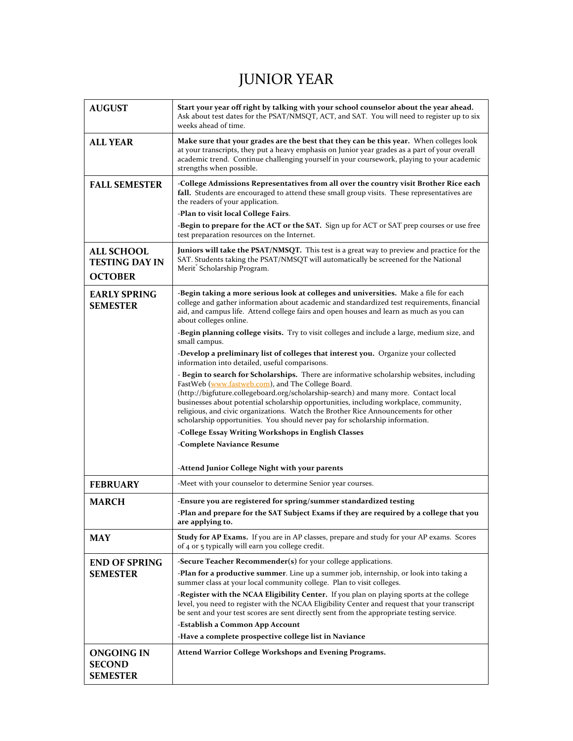## JUNIOR YEAR

| <b>AUGUST</b>                                                | Start your year off right by talking with your school counselor about the year ahead.<br>Ask about test dates for the PSAT/NMSQT, ACT, and SAT. You will need to register up to six<br>weeks ahead of time.                                                                                                                                                                                                                                                                                          |
|--------------------------------------------------------------|------------------------------------------------------------------------------------------------------------------------------------------------------------------------------------------------------------------------------------------------------------------------------------------------------------------------------------------------------------------------------------------------------------------------------------------------------------------------------------------------------|
| <b>ALL YEAR</b>                                              | Make sure that your grades are the best that they can be this year. When colleges look<br>at your transcripts, they put a heavy emphasis on Junior year grades as a part of your overall<br>academic trend. Continue challenging yourself in your coursework, playing to your academic<br>strengths when possible.                                                                                                                                                                                   |
| <b>FALL SEMESTER</b>                                         | -College Admissions Representatives from all over the country visit Brother Rice each<br>fall. Students are encouraged to attend these small group visits. These representatives are<br>the readers of your application.<br>-Plan to visit local College Fairs.<br>-Begin to prepare for the ACT or the SAT. Sign up for ACT or SAT prep courses or use free                                                                                                                                         |
|                                                              | test preparation resources on the Internet.                                                                                                                                                                                                                                                                                                                                                                                                                                                          |
| <b>ALL SCHOOL</b><br><b>TESTING DAY IN</b><br><b>OCTOBER</b> | Juniors will take the PSAT/NMSQT. This test is a great way to preview and practice for the<br>SAT. Students taking the PSAT/NMSQT will automatically be screened for the National<br>Merit <sup>®</sup> Scholarship Program.                                                                                                                                                                                                                                                                         |
| <b>EARLY SPRING</b><br><b>SEMESTER</b>                       | -Begin taking a more serious look at colleges and universities. Make a file for each<br>college and gather information about academic and standardized test requirements, financial<br>aid, and campus life. Attend college fairs and open houses and learn as much as you can<br>about colleges online.                                                                                                                                                                                             |
|                                                              | -Begin planning college visits. Try to visit colleges and include a large, medium size, and<br>small campus.                                                                                                                                                                                                                                                                                                                                                                                         |
|                                                              | -Develop a preliminary list of colleges that interest you. Organize your collected<br>information into detailed, useful comparisons.                                                                                                                                                                                                                                                                                                                                                                 |
|                                                              | - Begin to search for Scholarships. There are informative scholarship websites, including<br>FastWeb (www.fastweb.com), and The College Board.<br>(http://bigfuture.collegeboard.org/scholarship-search) and many more. Contact local<br>businesses about potential scholarship opportunities, including workplace, community,<br>religious, and civic organizations. Watch the Brother Rice Announcements for other<br>scholarship opportunities. You should never pay for scholarship information. |
|                                                              | -College Essay Writing Workshops in English Classes                                                                                                                                                                                                                                                                                                                                                                                                                                                  |
|                                                              | -Complete Naviance Resume                                                                                                                                                                                                                                                                                                                                                                                                                                                                            |
|                                                              | -Attend Junior College Night with your parents                                                                                                                                                                                                                                                                                                                                                                                                                                                       |
| <b>FEBRUARY</b>                                              | -Meet with your counselor to determine Senior year courses.                                                                                                                                                                                                                                                                                                                                                                                                                                          |
| <b>MARCH</b>                                                 | -Ensure you are registered for spring/summer standardized testing                                                                                                                                                                                                                                                                                                                                                                                                                                    |
|                                                              | -Plan and prepare for the SAT Subject Exams if they are required by a college that you<br>are applying to.                                                                                                                                                                                                                                                                                                                                                                                           |
| <b>MAY</b>                                                   | <b>Study for AP Exams.</b> If you are in AP classes, prepare and study for your AP exams. Scores<br>of 4 or 5 typically will earn you college credit.                                                                                                                                                                                                                                                                                                                                                |
| <b>END OF SPRING</b>                                         | -Secure Teacher Recommender(s) for your college applications.                                                                                                                                                                                                                                                                                                                                                                                                                                        |
| <b>SEMESTER</b>                                              | -Plan for a productive summer. Line up a summer job, internship, or look into taking a<br>summer class at your local community college. Plan to visit colleges.                                                                                                                                                                                                                                                                                                                                      |
|                                                              | -Register with the NCAA Eligibility Center. If you plan on playing sports at the college<br>level, you need to register with the NCAA Eligibility Center and request that your transcript<br>be sent and your test scores are sent directly sent from the appropriate testing service.                                                                                                                                                                                                               |
|                                                              | -Establish a Common App Account<br>-Have a complete prospective college list in Naviance                                                                                                                                                                                                                                                                                                                                                                                                             |
| ONGOING IN                                                   | Attend Warrior College Workshops and Evening Programs.                                                                                                                                                                                                                                                                                                                                                                                                                                               |
| <b>SECOND</b><br><b>SEMESTER</b>                             |                                                                                                                                                                                                                                                                                                                                                                                                                                                                                                      |